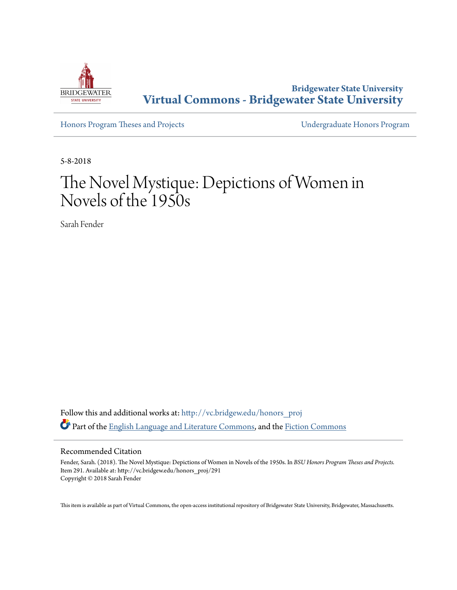

**Bridgewater State University [Virtual Commons - Bridgewater State University](http://vc.bridgew.edu?utm_source=vc.bridgew.edu%2Fhonors_proj%2F291&utm_medium=PDF&utm_campaign=PDFCoverPages)**

[Honors Program Theses and Projects](http://vc.bridgew.edu/honors_proj?utm_source=vc.bridgew.edu%2Fhonors_proj%2F291&utm_medium=PDF&utm_campaign=PDFCoverPages) [Undergraduate Honors Program](http://vc.bridgew.edu/honors?utm_source=vc.bridgew.edu%2Fhonors_proj%2F291&utm_medium=PDF&utm_campaign=PDFCoverPages)

5-8-2018

# The Novel Mystique: Depictions of Women in Novels of the 1950s

Sarah Fender

Follow this and additional works at: [http://vc.bridgew.edu/honors\\_proj](http://vc.bridgew.edu/honors_proj?utm_source=vc.bridgew.edu%2Fhonors_proj%2F291&utm_medium=PDF&utm_campaign=PDFCoverPages) Part of the [English Language and Literature Commons](http://network.bepress.com/hgg/discipline/455?utm_source=vc.bridgew.edu%2Fhonors_proj%2F291&utm_medium=PDF&utm_campaign=PDFCoverPages), and the [Fiction Commons](http://network.bepress.com/hgg/discipline/1151?utm_source=vc.bridgew.edu%2Fhonors_proj%2F291&utm_medium=PDF&utm_campaign=PDFCoverPages)

#### Recommended Citation

Fender, Sarah. (2018). The Novel Mystique: Depictions of Women in Novels of the 1950s. In *BSU Honors Program Theses and Projects.* Item 291. Available at: http://vc.bridgew.edu/honors\_proj/291 Copyright © 2018 Sarah Fender

This item is available as part of Virtual Commons, the open-access institutional repository of Bridgewater State University, Bridgewater, Massachusetts.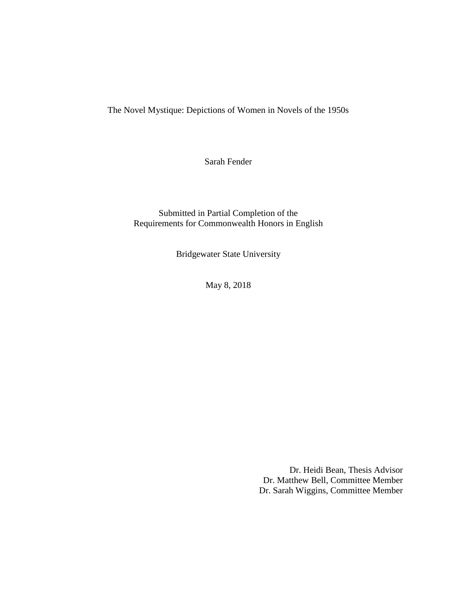The Novel Mystique: Depictions of Women in Novels of the 1950s

Sarah Fender

Submitted in Partial Completion of the Requirements for Commonwealth Honors in English

Bridgewater State University

May 8, 2018

Dr. Heidi Bean, Thesis Advisor Dr. Matthew Bell, Committee Member Dr. Sarah Wiggins, Committee Member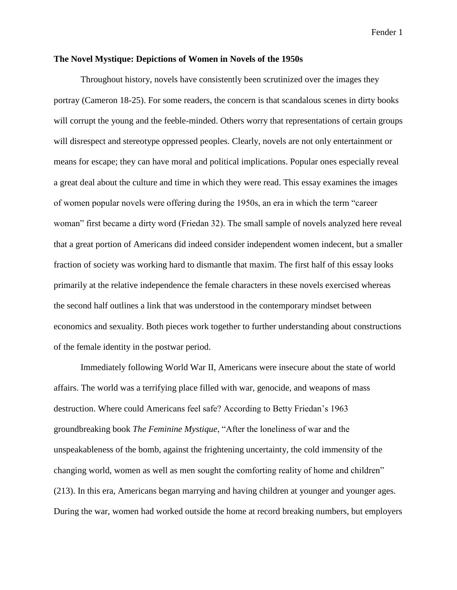## **The Novel Mystique: Depictions of Women in Novels of the 1950s**

Throughout history, novels have consistently been scrutinized over the images they portray (Cameron 18-25). For some readers, the concern is that scandalous scenes in dirty books will corrupt the young and the feeble-minded. Others worry that representations of certain groups will disrespect and stereotype oppressed peoples. Clearly, novels are not only entertainment or means for escape; they can have moral and political implications. Popular ones especially reveal a great deal about the culture and time in which they were read. This essay examines the images of women popular novels were offering during the 1950s, an era in which the term "career woman" first became a dirty word (Friedan 32). The small sample of novels analyzed here reveal that a great portion of Americans did indeed consider independent women indecent, but a smaller fraction of society was working hard to dismantle that maxim. The first half of this essay looks primarily at the relative independence the female characters in these novels exercised whereas the second half outlines a link that was understood in the contemporary mindset between economics and sexuality. Both pieces work together to further understanding about constructions of the female identity in the postwar period.

Immediately following World War II, Americans were insecure about the state of world affairs. The world was a terrifying place filled with war, genocide, and weapons of mass destruction. Where could Americans feel safe? According to Betty Friedan's 1963 groundbreaking book *The Feminine Mystique*, "After the loneliness of war and the unspeakableness of the bomb, against the frightening uncertainty, the cold immensity of the changing world, women as well as men sought the comforting reality of home and children" (213). In this era, Americans began marrying and having children at younger and younger ages. During the war, women had worked outside the home at record breaking numbers, but employers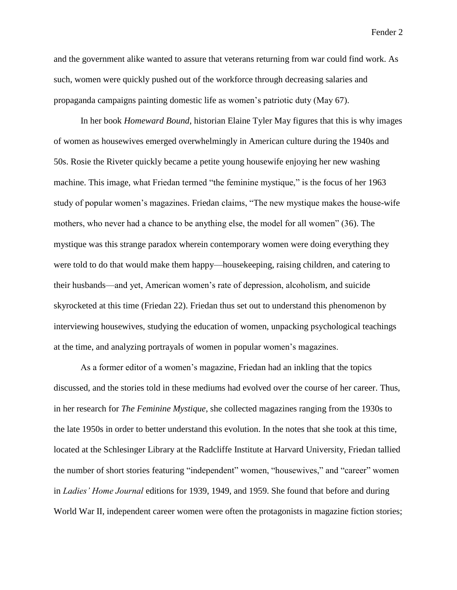and the government alike wanted to assure that veterans returning from war could find work. As such, women were quickly pushed out of the workforce through decreasing salaries and propaganda campaigns painting domestic life as women's patriotic duty (May 67).

In her book *Homeward Bound*, historian Elaine Tyler May figures that this is why images of women as housewives emerged overwhelmingly in American culture during the 1940s and 50s. Rosie the Riveter quickly became a petite young housewife enjoying her new washing machine. This image, what Friedan termed "the feminine mystique," is the focus of her 1963 study of popular women's magazines. Friedan claims, "The new mystique makes the house-wife mothers, who never had a chance to be anything else, the model for all women" (36). The mystique was this strange paradox wherein contemporary women were doing everything they were told to do that would make them happy—housekeeping, raising children, and catering to their husbands—and yet, American women's rate of depression, alcoholism, and suicide skyrocketed at this time (Friedan 22). Friedan thus set out to understand this phenomenon by interviewing housewives, studying the education of women, unpacking psychological teachings at the time, and analyzing portrayals of women in popular women's magazines.

As a former editor of a women's magazine, Friedan had an inkling that the topics discussed, and the stories told in these mediums had evolved over the course of her career. Thus, in her research for *The Feminine Mystique*, she collected magazines ranging from the 1930s to the late 1950s in order to better understand this evolution. In the notes that she took at this time, located at the Schlesinger Library at the Radcliffe Institute at Harvard University, Friedan tallied the number of short stories featuring "independent" women, "housewives," and "career" women in *Ladies' Home Journal* editions for 1939, 1949, and 1959. She found that before and during World War II, independent career women were often the protagonists in magazine fiction stories;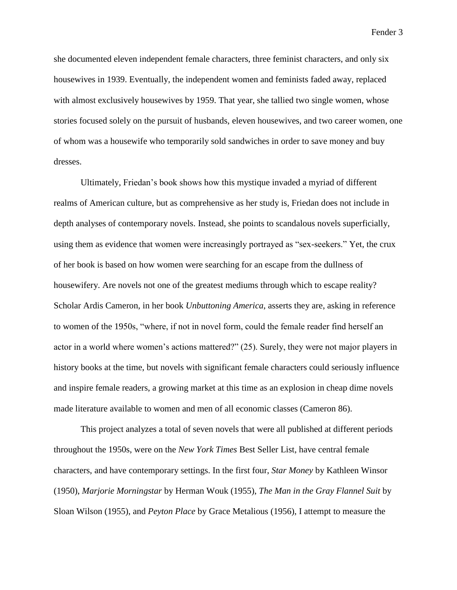she documented eleven independent female characters, three feminist characters, and only six housewives in 1939. Eventually, the independent women and feminists faded away, replaced with almost exclusively housewives by 1959. That year, she tallied two single women, whose stories focused solely on the pursuit of husbands, eleven housewives, and two career women, one of whom was a housewife who temporarily sold sandwiches in order to save money and buy dresses.

Ultimately, Friedan's book shows how this mystique invaded a myriad of different realms of American culture, but as comprehensive as her study is, Friedan does not include in depth analyses of contemporary novels. Instead, she points to scandalous novels superficially, using them as evidence that women were increasingly portrayed as "sex-seekers." Yet, the crux of her book is based on how women were searching for an escape from the dullness of housewifery. Are novels not one of the greatest mediums through which to escape reality? Scholar Ardis Cameron, in her book *Unbuttoning America*, asserts they are, asking in reference to women of the 1950s, "where, if not in novel form, could the female reader find herself an actor in a world where women's actions mattered?" (25). Surely, they were not major players in history books at the time, but novels with significant female characters could seriously influence and inspire female readers, a growing market at this time as an explosion in cheap dime novels made literature available to women and men of all economic classes (Cameron 86).

This project analyzes a total of seven novels that were all published at different periods throughout the 1950s, were on the *New York Times* Best Seller List, have central female characters, and have contemporary settings. In the first four, *Star Money* by Kathleen Winsor (1950), *Marjorie Morningstar* by Herman Wouk (1955), *The Man in the Gray Flannel Suit* by Sloan Wilson (1955), and *Peyton Place* by Grace Metalious (1956), I attempt to measure the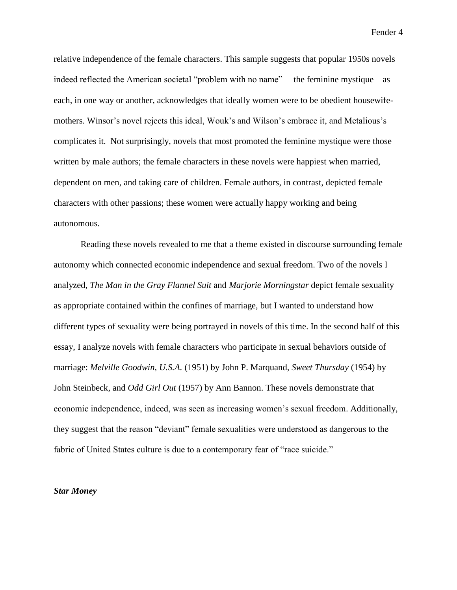relative independence of the female characters. This sample suggests that popular 1950s novels indeed reflected the American societal "problem with no name"— the feminine mystique—as each, in one way or another, acknowledges that ideally women were to be obedient housewifemothers. Winsor's novel rejects this ideal, Wouk's and Wilson's embrace it, and Metalious's complicates it. Not surprisingly, novels that most promoted the feminine mystique were those written by male authors; the female characters in these novels were happiest when married, dependent on men, and taking care of children. Female authors, in contrast, depicted female characters with other passions; these women were actually happy working and being autonomous.

Reading these novels revealed to me that a theme existed in discourse surrounding female autonomy which connected economic independence and sexual freedom. Two of the novels I analyzed, *The Man in the Gray Flannel Suit* and *Marjorie Morningstar* depict female sexuality as appropriate contained within the confines of marriage, but I wanted to understand how different types of sexuality were being portrayed in novels of this time. In the second half of this essay, I analyze novels with female characters who participate in sexual behaviors outside of marriage: *Melville Goodwin, U.S.A.* (1951) by John P. Marquand, *Sweet Thursday* (1954) by John Steinbeck, and *Odd Girl Out* (1957) by Ann Bannon. These novels demonstrate that economic independence, indeed, was seen as increasing women's sexual freedom. Additionally, they suggest that the reason "deviant" female sexualities were understood as dangerous to the fabric of United States culture is due to a contemporary fear of "race suicide."

## *Star Money*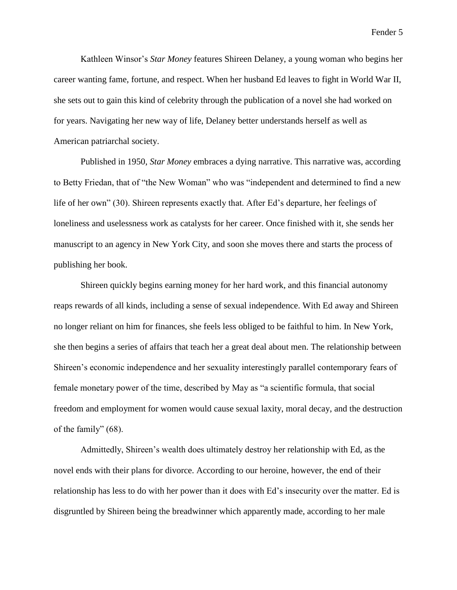Kathleen Winsor's *Star Money* features Shireen Delaney, a young woman who begins her career wanting fame, fortune, and respect. When her husband Ed leaves to fight in World War II, she sets out to gain this kind of celebrity through the publication of a novel she had worked on for years. Navigating her new way of life, Delaney better understands herself as well as American patriarchal society.

Published in 1950, *Star Money* embraces a dying narrative. This narrative was, according to Betty Friedan, that of "the New Woman" who was "independent and determined to find a new life of her own" (30). Shireen represents exactly that. After Ed's departure, her feelings of loneliness and uselessness work as catalysts for her career. Once finished with it, she sends her manuscript to an agency in New York City, and soon she moves there and starts the process of publishing her book.

Shireen quickly begins earning money for her hard work, and this financial autonomy reaps rewards of all kinds, including a sense of sexual independence. With Ed away and Shireen no longer reliant on him for finances, she feels less obliged to be faithful to him. In New York, she then begins a series of affairs that teach her a great deal about men. The relationship between Shireen's economic independence and her sexuality interestingly parallel contemporary fears of female monetary power of the time, described by May as "a scientific formula, that social freedom and employment for women would cause sexual laxity, moral decay, and the destruction of the family" (68).

Admittedly, Shireen's wealth does ultimately destroy her relationship with Ed, as the novel ends with their plans for divorce. According to our heroine, however, the end of their relationship has less to do with her power than it does with Ed's insecurity over the matter. Ed is disgruntled by Shireen being the breadwinner which apparently made, according to her male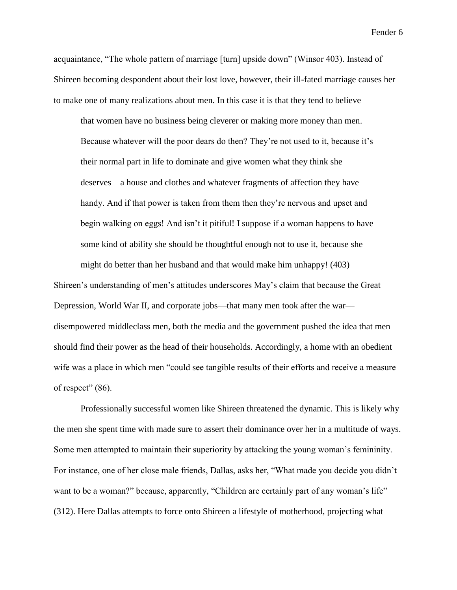acquaintance, "The whole pattern of marriage [turn] upside down" (Winsor 403). Instead of Shireen becoming despondent about their lost love, however, their ill-fated marriage causes her to make one of many realizations about men. In this case it is that they tend to believe

that women have no business being cleverer or making more money than men. Because whatever will the poor dears do then? They're not used to it, because it's their normal part in life to dominate and give women what they think she deserves—a house and clothes and whatever fragments of affection they have handy. And if that power is taken from them then they're nervous and upset and begin walking on eggs! And isn't it pitiful! I suppose if a woman happens to have some kind of ability she should be thoughtful enough not to use it, because she might do better than her husband and that would make him unhappy! (403)

Shireen's understanding of men's attitudes underscores May's claim that because the Great Depression, World War II, and corporate jobs—that many men took after the war disempowered middleclass men, both the media and the government pushed the idea that men should find their power as the head of their households. Accordingly, a home with an obedient wife was a place in which men "could see tangible results of their efforts and receive a measure of respect"  $(86)$ .

Professionally successful women like Shireen threatened the dynamic. This is likely why the men she spent time with made sure to assert their dominance over her in a multitude of ways. Some men attempted to maintain their superiority by attacking the young woman's femininity. For instance, one of her close male friends, Dallas, asks her, "What made you decide you didn't want to be a woman?" because, apparently, "Children are certainly part of any woman's life" (312). Here Dallas attempts to force onto Shireen a lifestyle of motherhood, projecting what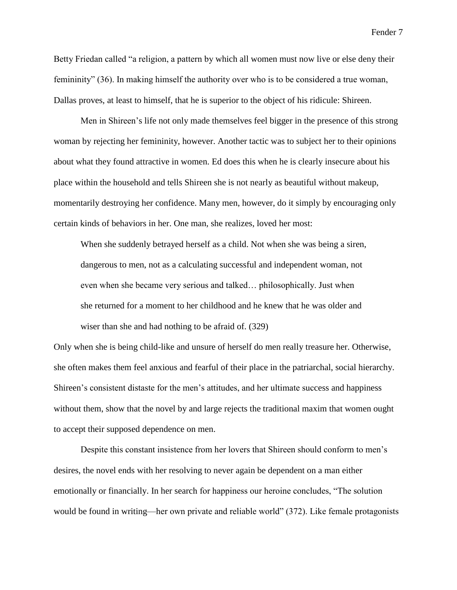Betty Friedan called "a religion, a pattern by which all women must now live or else deny their femininity" (36). In making himself the authority over who is to be considered a true woman, Dallas proves, at least to himself, that he is superior to the object of his ridicule: Shireen.

Men in Shireen's life not only made themselves feel bigger in the presence of this strong woman by rejecting her femininity, however. Another tactic was to subject her to their opinions about what they found attractive in women. Ed does this when he is clearly insecure about his place within the household and tells Shireen she is not nearly as beautiful without makeup, momentarily destroying her confidence. Many men, however, do it simply by encouraging only certain kinds of behaviors in her. One man, she realizes, loved her most:

When she suddenly betrayed herself as a child. Not when she was being a siren, dangerous to men, not as a calculating successful and independent woman, not even when she became very serious and talked… philosophically. Just when she returned for a moment to her childhood and he knew that he was older and wiser than she and had nothing to be afraid of. (329)

Only when she is being child-like and unsure of herself do men really treasure her. Otherwise, she often makes them feel anxious and fearful of their place in the patriarchal, social hierarchy. Shireen's consistent distaste for the men's attitudes, and her ultimate success and happiness without them, show that the novel by and large rejects the traditional maxim that women ought to accept their supposed dependence on men.

Despite this constant insistence from her lovers that Shireen should conform to men's desires, the novel ends with her resolving to never again be dependent on a man either emotionally or financially. In her search for happiness our heroine concludes, "The solution would be found in writing—her own private and reliable world" (372). Like female protagonists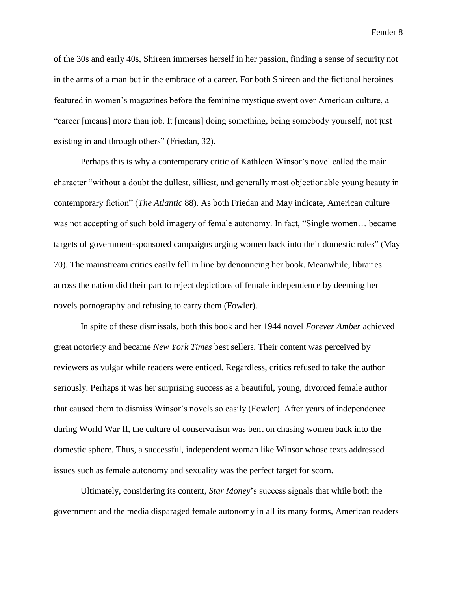of the 30s and early 40s, Shireen immerses herself in her passion, finding a sense of security not in the arms of a man but in the embrace of a career. For both Shireen and the fictional heroines featured in women's magazines before the feminine mystique swept over American culture, a "career [means] more than job. It [means] doing something, being somebody yourself, not just existing in and through others" (Friedan, 32).

Perhaps this is why a contemporary critic of Kathleen Winsor's novel called the main character "without a doubt the dullest, silliest, and generally most objectionable young beauty in contemporary fiction" (*The Atlantic* 88). As both Friedan and May indicate, American culture was not accepting of such bold imagery of female autonomy. In fact, "Single women… became targets of government-sponsored campaigns urging women back into their domestic roles" (May 70). The mainstream critics easily fell in line by denouncing her book. Meanwhile, libraries across the nation did their part to reject depictions of female independence by deeming her novels pornography and refusing to carry them (Fowler).

In spite of these dismissals, both this book and her 1944 novel *Forever Amber* achieved great notoriety and became *New York Times* best sellers. Their content was perceived by reviewers as vulgar while readers were enticed. Regardless, critics refused to take the author seriously. Perhaps it was her surprising success as a beautiful, young, divorced female author that caused them to dismiss Winsor's novels so easily (Fowler). After years of independence during World War II, the culture of conservatism was bent on chasing women back into the domestic sphere. Thus, a successful, independent woman like Winsor whose texts addressed issues such as female autonomy and sexuality was the perfect target for scorn.

Ultimately, considering its content, *Star Money*'s success signals that while both the government and the media disparaged female autonomy in all its many forms, American readers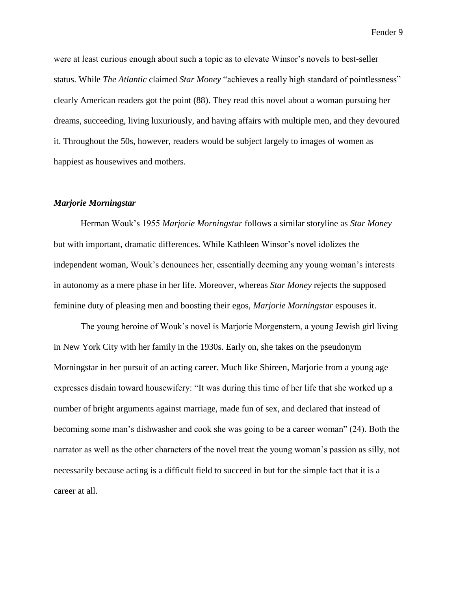were at least curious enough about such a topic as to elevate Winsor's novels to best-seller status. While *The Atlantic* claimed *Star Money* "achieves a really high standard of pointlessness" clearly American readers got the point (88). They read this novel about a woman pursuing her dreams, succeeding, living luxuriously, and having affairs with multiple men, and they devoured it. Throughout the 50s, however, readers would be subject largely to images of women as happiest as housewives and mothers.

## *Marjorie Morningstar*

Herman Wouk's 1955 *Marjorie Morningstar* follows a similar storyline as *Star Money* but with important, dramatic differences. While Kathleen Winsor's novel idolizes the independent woman, Wouk's denounces her, essentially deeming any young woman's interests in autonomy as a mere phase in her life. Moreover, whereas *Star Money* rejects the supposed feminine duty of pleasing men and boosting their egos, *Marjorie Morningstar* espouses it.

The young heroine of Wouk's novel is Marjorie Morgenstern, a young Jewish girl living in New York City with her family in the 1930s. Early on, she takes on the pseudonym Morningstar in her pursuit of an acting career. Much like Shireen, Marjorie from a young age expresses disdain toward housewifery: "It was during this time of her life that she worked up a number of bright arguments against marriage, made fun of sex, and declared that instead of becoming some man's dishwasher and cook she was going to be a career woman" (24). Both the narrator as well as the other characters of the novel treat the young woman's passion as silly, not necessarily because acting is a difficult field to succeed in but for the simple fact that it is a career at all.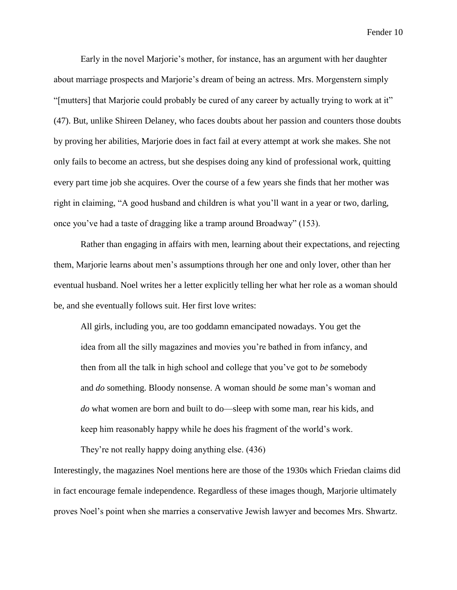Early in the novel Marjorie's mother, for instance, has an argument with her daughter about marriage prospects and Marjorie's dream of being an actress. Mrs. Morgenstern simply "[mutters] that Marjorie could probably be cured of any career by actually trying to work at it" (47). But, unlike Shireen Delaney, who faces doubts about her passion and counters those doubts by proving her abilities, Marjorie does in fact fail at every attempt at work she makes. She not only fails to become an actress, but she despises doing any kind of professional work, quitting every part time job she acquires. Over the course of a few years she finds that her mother was right in claiming, "A good husband and children is what you'll want in a year or two, darling, once you've had a taste of dragging like a tramp around Broadway" (153).

Rather than engaging in affairs with men, learning about their expectations, and rejecting them, Marjorie learns about men's assumptions through her one and only lover, other than her eventual husband. Noel writes her a letter explicitly telling her what her role as a woman should be, and she eventually follows suit. Her first love writes:

All girls, including you, are too goddamn emancipated nowadays. You get the idea from all the silly magazines and movies you're bathed in from infancy, and then from all the talk in high school and college that you've got to *be* somebody and *do* something. Bloody nonsense. A woman should *be* some man's woman and *do* what women are born and built to do—sleep with some man, rear his kids, and keep him reasonably happy while he does his fragment of the world's work.

They're not really happy doing anything else. (436)

Interestingly, the magazines Noel mentions here are those of the 1930s which Friedan claims did in fact encourage female independence. Regardless of these images though, Marjorie ultimately proves Noel's point when she marries a conservative Jewish lawyer and becomes Mrs. Shwartz.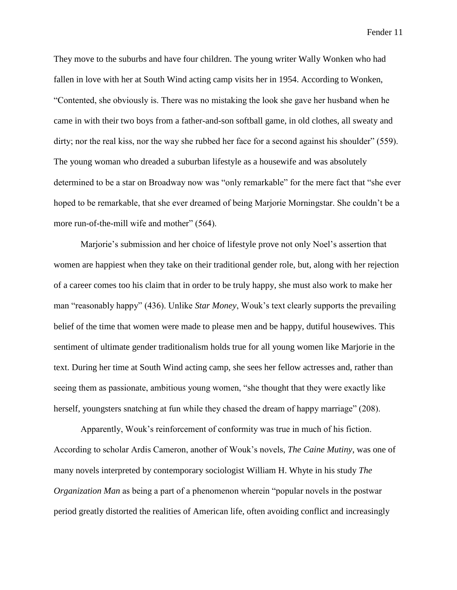They move to the suburbs and have four children. The young writer Wally Wonken who had fallen in love with her at South Wind acting camp visits her in 1954. According to Wonken, "Contented, she obviously is. There was no mistaking the look she gave her husband when he came in with their two boys from a father-and-son softball game, in old clothes, all sweaty and dirty; nor the real kiss, nor the way she rubbed her face for a second against his shoulder" (559). The young woman who dreaded a suburban lifestyle as a housewife and was absolutely determined to be a star on Broadway now was "only remarkable" for the mere fact that "she ever hoped to be remarkable, that she ever dreamed of being Marjorie Morningstar. She couldn't be a more run-of-the-mill wife and mother" (564).

Marjorie's submission and her choice of lifestyle prove not only Noel's assertion that women are happiest when they take on their traditional gender role, but, along with her rejection of a career comes too his claim that in order to be truly happy, she must also work to make her man "reasonably happy" (436). Unlike *Star Money*, Wouk's text clearly supports the prevailing belief of the time that women were made to please men and be happy, dutiful housewives. This sentiment of ultimate gender traditionalism holds true for all young women like Marjorie in the text. During her time at South Wind acting camp, she sees her fellow actresses and, rather than seeing them as passionate, ambitious young women, "she thought that they were exactly like herself, youngsters snatching at fun while they chased the dream of happy marriage" (208).

Apparently, Wouk's reinforcement of conformity was true in much of his fiction. According to scholar Ardis Cameron, another of Wouk's novels, *The Caine Mutiny*, was one of many novels interpreted by contemporary sociologist William H. Whyte in his study *The Organization Man* as being a part of a phenomenon wherein "popular novels in the postwar period greatly distorted the realities of American life, often avoiding conflict and increasingly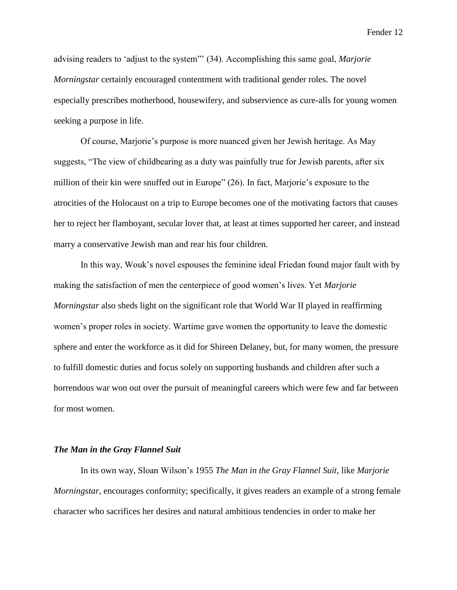advising readers to 'adjust to the system"' (34). Accomplishing this same goal, *Marjorie Morningstar* certainly encouraged contentment with traditional gender roles. The novel especially prescribes motherhood, housewifery, and subservience as cure-alls for young women seeking a purpose in life.

Of course, Marjorie's purpose is more nuanced given her Jewish heritage. As May suggests, "The view of childbearing as a duty was painfully true for Jewish parents, after six million of their kin were snuffed out in Europe" (26). In fact, Marjorie's exposure to the atrocities of the Holocaust on a trip to Europe becomes one of the motivating factors that causes her to reject her flamboyant, secular lover that, at least at times supported her career, and instead marry a conservative Jewish man and rear his four children.

In this way, Wouk's novel espouses the feminine ideal Friedan found major fault with by making the satisfaction of men the centerpiece of good women's lives. Yet *Marjorie Morningstar* also sheds light on the significant role that World War II played in reaffirming women's proper roles in society. Wartime gave women the opportunity to leave the domestic sphere and enter the workforce as it did for Shireen Delaney, but, for many women, the pressure to fulfill domestic duties and focus solely on supporting husbands and children after such a horrendous war won out over the pursuit of meaningful careers which were few and far between for most women.

## *The Man in the Gray Flannel Suit*

In its own way, Sloan Wilson's 1955 *The Man in the Gray Flannel Suit*, like *Marjorie Morningstar*, encourages conformity; specifically, it gives readers an example of a strong female character who sacrifices her desires and natural ambitious tendencies in order to make her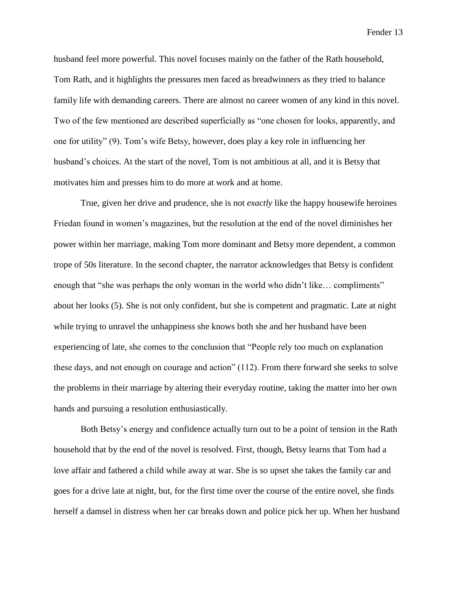husband feel more powerful. This novel focuses mainly on the father of the Rath household, Tom Rath, and it highlights the pressures men faced as breadwinners as they tried to balance family life with demanding careers. There are almost no career women of any kind in this novel. Two of the few mentioned are described superficially as "one chosen for looks, apparently, and one for utility" (9). Tom's wife Betsy, however, does play a key role in influencing her husband's choices. At the start of the novel, Tom is not ambitious at all, and it is Betsy that motivates him and presses him to do more at work and at home.

True, given her drive and prudence, she is not *exactly* like the happy housewife heroines Friedan found in women's magazines, but the resolution at the end of the novel diminishes her power within her marriage, making Tom more dominant and Betsy more dependent, a common trope of 50s literature. In the second chapter, the narrator acknowledges that Betsy is confident enough that "she was perhaps the only woman in the world who didn't like... compliments" about her looks (5). She is not only confident, but she is competent and pragmatic. Late at night while trying to unravel the unhappiness she knows both she and her husband have been experiencing of late, she comes to the conclusion that "People rely too much on explanation these days, and not enough on courage and action" (112). From there forward she seeks to solve the problems in their marriage by altering their everyday routine, taking the matter into her own hands and pursuing a resolution enthusiastically.

Both Betsy's energy and confidence actually turn out to be a point of tension in the Rath household that by the end of the novel is resolved. First, though, Betsy learns that Tom had a love affair and fathered a child while away at war. She is so upset she takes the family car and goes for a drive late at night, but, for the first time over the course of the entire novel, she finds herself a damsel in distress when her car breaks down and police pick her up. When her husband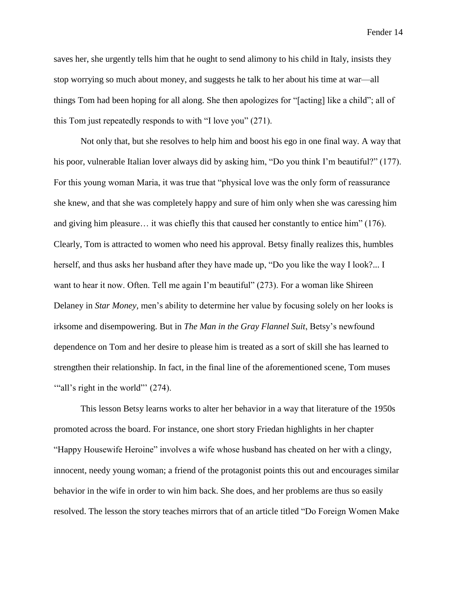saves her, she urgently tells him that he ought to send alimony to his child in Italy, insists they stop worrying so much about money, and suggests he talk to her about his time at war—all things Tom had been hoping for all along. She then apologizes for "[acting] like a child"; all of this Tom just repeatedly responds to with "I love you" (271).

Not only that, but she resolves to help him and boost his ego in one final way. A way that his poor, vulnerable Italian lover always did by asking him, "Do you think I'm beautiful?" (177). For this young woman Maria, it was true that "physical love was the only form of reassurance she knew, and that she was completely happy and sure of him only when she was caressing him and giving him pleasure… it was chiefly this that caused her constantly to entice him" (176). Clearly, Tom is attracted to women who need his approval. Betsy finally realizes this, humbles herself, and thus asks her husband after they have made up, "Do you like the way I look?... I want to hear it now. Often. Tell me again I'm beautiful" (273). For a woman like Shireen Delaney in *Star Money,* men's ability to determine her value by focusing solely on her looks is irksome and disempowering. But in *The Man in the Gray Flannel Suit*, Betsy's newfound dependence on Tom and her desire to please him is treated as a sort of skill she has learned to strengthen their relationship. In fact, in the final line of the aforementioned scene, Tom muses "all's right in the world" (274).

This lesson Betsy learns works to alter her behavior in a way that literature of the 1950s promoted across the board. For instance, one short story Friedan highlights in her chapter "Happy Housewife Heroine" involves a wife whose husband has cheated on her with a clingy, innocent, needy young woman; a friend of the protagonist points this out and encourages similar behavior in the wife in order to win him back. She does, and her problems are thus so easily resolved. The lesson the story teaches mirrors that of an article titled "Do Foreign Women Make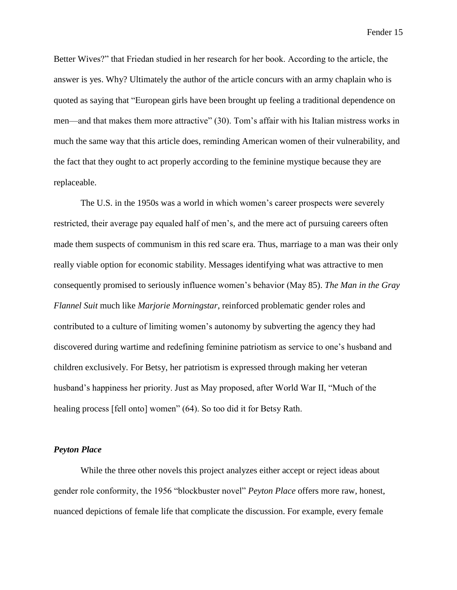Better Wives?" that Friedan studied in her research for her book. According to the article, the answer is yes. Why? Ultimately the author of the article concurs with an army chaplain who is quoted as saying that "European girls have been brought up feeling a traditional dependence on men—and that makes them more attractive" (30). Tom's affair with his Italian mistress works in much the same way that this article does, reminding American women of their vulnerability, and the fact that they ought to act properly according to the feminine mystique because they are replaceable.

The U.S. in the 1950s was a world in which women's career prospects were severely restricted, their average pay equaled half of men's, and the mere act of pursuing careers often made them suspects of communism in this red scare era. Thus, marriage to a man was their only really viable option for economic stability. Messages identifying what was attractive to men consequently promised to seriously influence women's behavior (May 85). *The Man in the Gray Flannel Suit* much like *Marjorie Morningstar*, reinforced problematic gender roles and contributed to a culture of limiting women's autonomy by subverting the agency they had discovered during wartime and redefining feminine patriotism as service to one's husband and children exclusively. For Betsy, her patriotism is expressed through making her veteran husband's happiness her priority. Just as May proposed, after World War II, "Much of the healing process [fell onto] women" (64). So too did it for Betsy Rath.

## *Peyton Place*

While the three other novels this project analyzes either accept or reject ideas about gender role conformity, the 1956 "blockbuster novel" *Peyton Place* offers more raw, honest, nuanced depictions of female life that complicate the discussion. For example, every female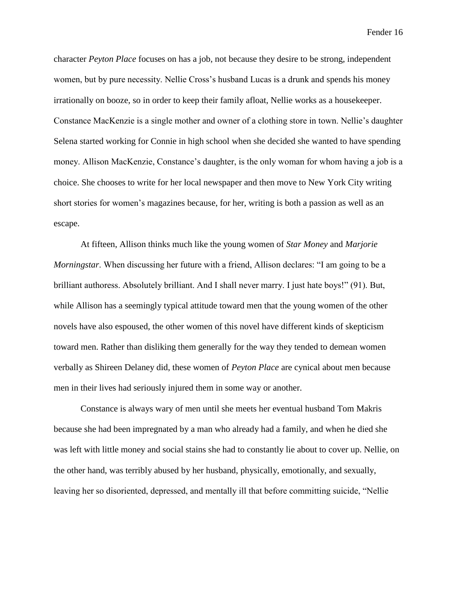character *Peyton Place* focuses on has a job, not because they desire to be strong, independent women, but by pure necessity. Nellie Cross's husband Lucas is a drunk and spends his money irrationally on booze, so in order to keep their family afloat, Nellie works as a housekeeper. Constance MacKenzie is a single mother and owner of a clothing store in town. Nellie's daughter Selena started working for Connie in high school when she decided she wanted to have spending money. Allison MacKenzie, Constance's daughter, is the only woman for whom having a job is a choice. She chooses to write for her local newspaper and then move to New York City writing short stories for women's magazines because, for her, writing is both a passion as well as an escape.

At fifteen, Allison thinks much like the young women of *Star Money* and *Marjorie Morningstar*. When discussing her future with a friend, Allison declares: "I am going to be a brilliant authoress. Absolutely brilliant. And I shall never marry. I just hate boys!" (91). But, while Allison has a seemingly typical attitude toward men that the young women of the other novels have also espoused, the other women of this novel have different kinds of skepticism toward men. Rather than disliking them generally for the way they tended to demean women verbally as Shireen Delaney did, these women of *Peyton Place* are cynical about men because men in their lives had seriously injured them in some way or another.

Constance is always wary of men until she meets her eventual husband Tom Makris because she had been impregnated by a man who already had a family, and when he died she was left with little money and social stains she had to constantly lie about to cover up. Nellie, on the other hand, was terribly abused by her husband, physically, emotionally, and sexually, leaving her so disoriented, depressed, and mentally ill that before committing suicide, "Nellie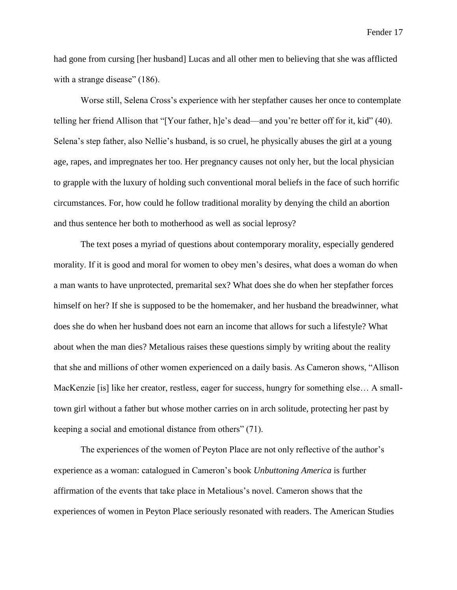had gone from cursing [her husband] Lucas and all other men to believing that she was afflicted with a strange disease" (186).

Worse still, Selena Cross's experience with her stepfather causes her once to contemplate telling her friend Allison that "[Your father, h]e's dead—and you're better off for it, kid" (40). Selena's step father, also Nellie's husband, is so cruel, he physically abuses the girl at a young age, rapes, and impregnates her too. Her pregnancy causes not only her, but the local physician to grapple with the luxury of holding such conventional moral beliefs in the face of such horrific circumstances. For, how could he follow traditional morality by denying the child an abortion and thus sentence her both to motherhood as well as social leprosy?

The text poses a myriad of questions about contemporary morality, especially gendered morality. If it is good and moral for women to obey men's desires, what does a woman do when a man wants to have unprotected, premarital sex? What does she do when her stepfather forces himself on her? If she is supposed to be the homemaker, and her husband the breadwinner, what does she do when her husband does not earn an income that allows for such a lifestyle? What about when the man dies? Metalious raises these questions simply by writing about the reality that she and millions of other women experienced on a daily basis. As Cameron shows, "Allison MacKenzie [is] like her creator, restless, eager for success, hungry for something else… A smalltown girl without a father but whose mother carries on in arch solitude, protecting her past by keeping a social and emotional distance from others" (71).

The experiences of the women of Peyton Place are not only reflective of the author's experience as a woman: catalogued in Cameron's book *Unbuttoning America* is further affirmation of the events that take place in Metalious's novel. Cameron shows that the experiences of women in Peyton Place seriously resonated with readers. The American Studies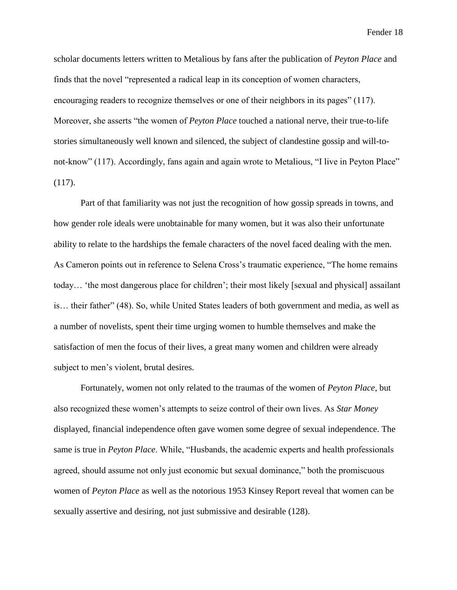scholar documents letters written to Metalious by fans after the publication of *Peyton Place* and finds that the novel "represented a radical leap in its conception of women characters, encouraging readers to recognize themselves or one of their neighbors in its pages" (117). Moreover, she asserts "the women of *Peyton Place* touched a national nerve, their true-to-life stories simultaneously well known and silenced, the subject of clandestine gossip and will-tonot-know" (117). Accordingly, fans again and again wrote to Metalious, "I live in Peyton Place"  $(117)$ .

Part of that familiarity was not just the recognition of how gossip spreads in towns, and how gender role ideals were unobtainable for many women, but it was also their unfortunate ability to relate to the hardships the female characters of the novel faced dealing with the men. As Cameron points out in reference to Selena Cross's traumatic experience, "The home remains today… 'the most dangerous place for children'; their most likely [sexual and physical] assailant is… their father" (48). So, while United States leaders of both government and media, as well as a number of novelists, spent their time urging women to humble themselves and make the satisfaction of men the focus of their lives, a great many women and children were already subject to men's violent, brutal desires.

Fortunately, women not only related to the traumas of the women of *Peyton Place*, but also recognized these women's attempts to seize control of their own lives. As *Star Money* displayed, financial independence often gave women some degree of sexual independence. The same is true in *Peyton Place*. While, "Husbands, the academic experts and health professionals agreed, should assume not only just economic but sexual dominance," both the promiscuous women of *Peyton Place* as well as the notorious 1953 Kinsey Report reveal that women can be sexually assertive and desiring, not just submissive and desirable (128).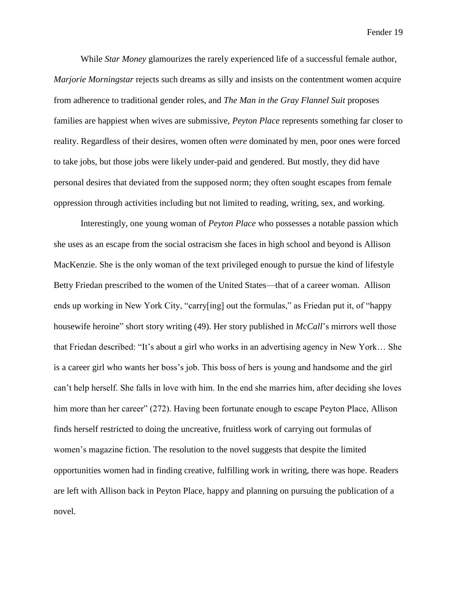While *Star Money* glamourizes the rarely experienced life of a successful female author, *Marjorie Morningstar* rejects such dreams as silly and insists on the contentment women acquire from adherence to traditional gender roles, and *The Man in the Gray Flannel Suit* proposes families are happiest when wives are submissive, *Peyton Place* represents something far closer to reality. Regardless of their desires, women often *were* dominated by men, poor ones were forced to take jobs, but those jobs were likely under-paid and gendered. But mostly, they did have personal desires that deviated from the supposed norm; they often sought escapes from female oppression through activities including but not limited to reading, writing, sex, and working.

Interestingly, one young woman of *Peyton Place* who possesses a notable passion which she uses as an escape from the social ostracism she faces in high school and beyond is Allison MacKenzie. She is the only woman of the text privileged enough to pursue the kind of lifestyle Betty Friedan prescribed to the women of the United States—that of a career woman. Allison ends up working in New York City, "carry[ing] out the formulas," as Friedan put it, of "happy housewife heroine" short story writing (49). Her story published in *McCall*'s mirrors well those that Friedan described: "It's about a girl who works in an advertising agency in New York… She is a career girl who wants her boss's job. This boss of hers is young and handsome and the girl can't help herself. She falls in love with him. In the end she marries him, after deciding she loves him more than her career" (272). Having been fortunate enough to escape Peyton Place, Allison finds herself restricted to doing the uncreative, fruitless work of carrying out formulas of women's magazine fiction. The resolution to the novel suggests that despite the limited opportunities women had in finding creative, fulfilling work in writing, there was hope. Readers are left with Allison back in Peyton Place, happy and planning on pursuing the publication of a novel.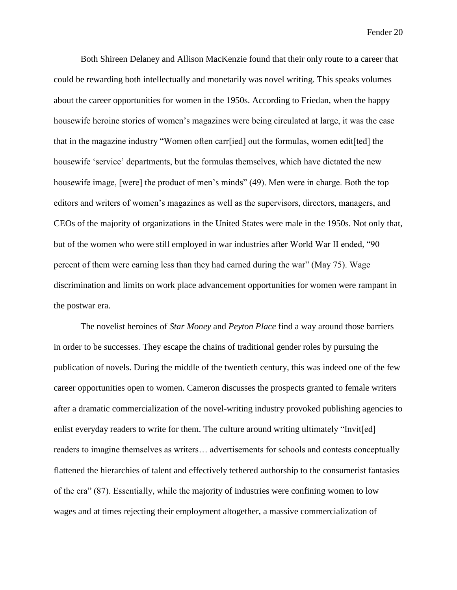Both Shireen Delaney and Allison MacKenzie found that their only route to a career that could be rewarding both intellectually and monetarily was novel writing. This speaks volumes about the career opportunities for women in the 1950s. According to Friedan, when the happy housewife heroine stories of women's magazines were being circulated at large, it was the case that in the magazine industry "Women often carr[ied] out the formulas, women edit[ted] the housewife 'service' departments, but the formulas themselves, which have dictated the new housewife image, [were] the product of men's minds" (49). Men were in charge. Both the top editors and writers of women's magazines as well as the supervisors, directors, managers, and CEOs of the majority of organizations in the United States were male in the 1950s. Not only that, but of the women who were still employed in war industries after World War II ended, "90 percent of them were earning less than they had earned during the war" (May 75). Wage discrimination and limits on work place advancement opportunities for women were rampant in the postwar era.

The novelist heroines of *Star Money* and *Peyton Place* find a way around those barriers in order to be successes. They escape the chains of traditional gender roles by pursuing the publication of novels. During the middle of the twentieth century, this was indeed one of the few career opportunities open to women. Cameron discusses the prospects granted to female writers after a dramatic commercialization of the novel-writing industry provoked publishing agencies to enlist everyday readers to write for them. The culture around writing ultimately "Invit[ed] readers to imagine themselves as writers… advertisements for schools and contests conceptually flattened the hierarchies of talent and effectively tethered authorship to the consumerist fantasies of the era" (87). Essentially, while the majority of industries were confining women to low wages and at times rejecting their employment altogether, a massive commercialization of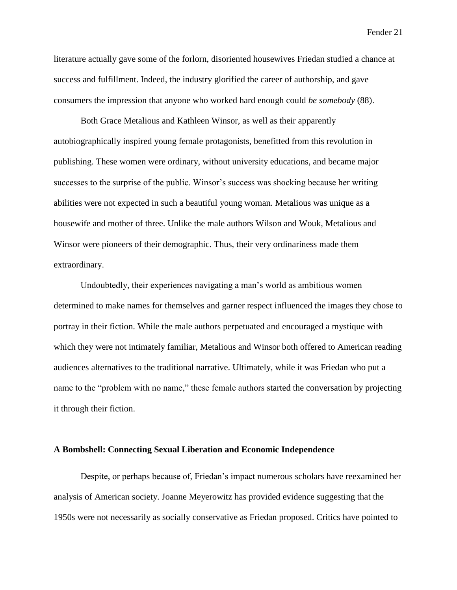literature actually gave some of the forlorn, disoriented housewives Friedan studied a chance at success and fulfillment. Indeed, the industry glorified the career of authorship, and gave consumers the impression that anyone who worked hard enough could *be somebody* (88).

Both Grace Metalious and Kathleen Winsor, as well as their apparently autobiographically inspired young female protagonists, benefitted from this revolution in publishing. These women were ordinary, without university educations, and became major successes to the surprise of the public. Winsor's success was shocking because her writing abilities were not expected in such a beautiful young woman. Metalious was unique as a housewife and mother of three. Unlike the male authors Wilson and Wouk, Metalious and Winsor were pioneers of their demographic. Thus, their very ordinariness made them extraordinary.

Undoubtedly, their experiences navigating a man's world as ambitious women determined to make names for themselves and garner respect influenced the images they chose to portray in their fiction. While the male authors perpetuated and encouraged a mystique with which they were not intimately familiar, Metalious and Winsor both offered to American reading audiences alternatives to the traditional narrative. Ultimately, while it was Friedan who put a name to the "problem with no name," these female authors started the conversation by projecting it through their fiction.

#### **A Bombshell: Connecting Sexual Liberation and Economic Independence**

Despite, or perhaps because of, Friedan's impact numerous scholars have reexamined her analysis of American society. Joanne Meyerowitz has provided evidence suggesting that the 1950s were not necessarily as socially conservative as Friedan proposed. Critics have pointed to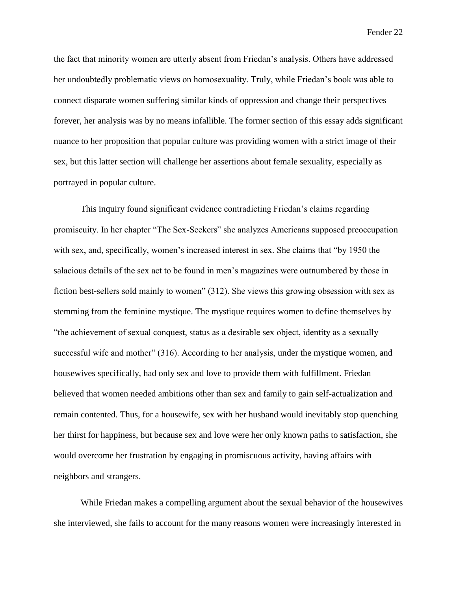the fact that minority women are utterly absent from Friedan's analysis. Others have addressed her undoubtedly problematic views on homosexuality. Truly, while Friedan's book was able to connect disparate women suffering similar kinds of oppression and change their perspectives forever, her analysis was by no means infallible. The former section of this essay adds significant nuance to her proposition that popular culture was providing women with a strict image of their sex, but this latter section will challenge her assertions about female sexuality, especially as portrayed in popular culture.

This inquiry found significant evidence contradicting Friedan's claims regarding promiscuity. In her chapter "The Sex-Seekers" she analyzes Americans supposed preoccupation with sex, and, specifically, women's increased interest in sex. She claims that "by 1950 the salacious details of the sex act to be found in men's magazines were outnumbered by those in fiction best-sellers sold mainly to women" (312). She views this growing obsession with sex as stemming from the feminine mystique. The mystique requires women to define themselves by "the achievement of sexual conquest, status as a desirable sex object, identity as a sexually successful wife and mother" (316). According to her analysis, under the mystique women, and housewives specifically, had only sex and love to provide them with fulfillment. Friedan believed that women needed ambitions other than sex and family to gain self-actualization and remain contented. Thus, for a housewife, sex with her husband would inevitably stop quenching her thirst for happiness, but because sex and love were her only known paths to satisfaction, she would overcome her frustration by engaging in promiscuous activity, having affairs with neighbors and strangers.

While Friedan makes a compelling argument about the sexual behavior of the housewives she interviewed, she fails to account for the many reasons women were increasingly interested in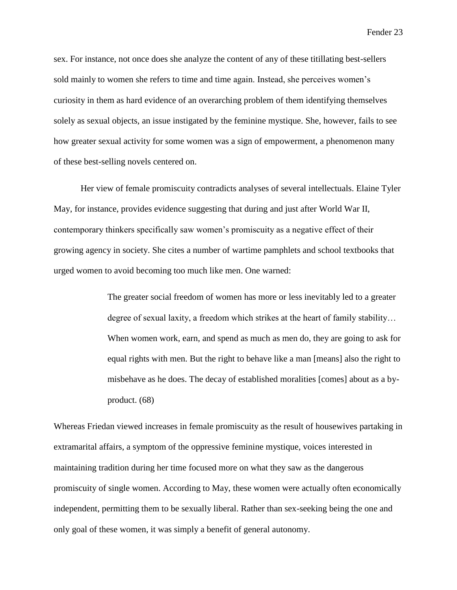sex. For instance, not once does she analyze the content of any of these titillating best-sellers sold mainly to women she refers to time and time again. Instead, she perceives women's curiosity in them as hard evidence of an overarching problem of them identifying themselves solely as sexual objects, an issue instigated by the feminine mystique. She, however, fails to see how greater sexual activity for some women was a sign of empowerment, a phenomenon many of these best-selling novels centered on.

Her view of female promiscuity contradicts analyses of several intellectuals. Elaine Tyler May, for instance, provides evidence suggesting that during and just after World War II, contemporary thinkers specifically saw women's promiscuity as a negative effect of their growing agency in society. She cites a number of wartime pamphlets and school textbooks that urged women to avoid becoming too much like men. One warned:

> The greater social freedom of women has more or less inevitably led to a greater degree of sexual laxity, a freedom which strikes at the heart of family stability… When women work, earn, and spend as much as men do, they are going to ask for equal rights with men. But the right to behave like a man [means] also the right to misbehave as he does. The decay of established moralities [comes] about as a byproduct. (68)

Whereas Friedan viewed increases in female promiscuity as the result of housewives partaking in extramarital affairs, a symptom of the oppressive feminine mystique, voices interested in maintaining tradition during her time focused more on what they saw as the dangerous promiscuity of single women. According to May, these women were actually often economically independent, permitting them to be sexually liberal. Rather than sex-seeking being the one and only goal of these women, it was simply a benefit of general autonomy.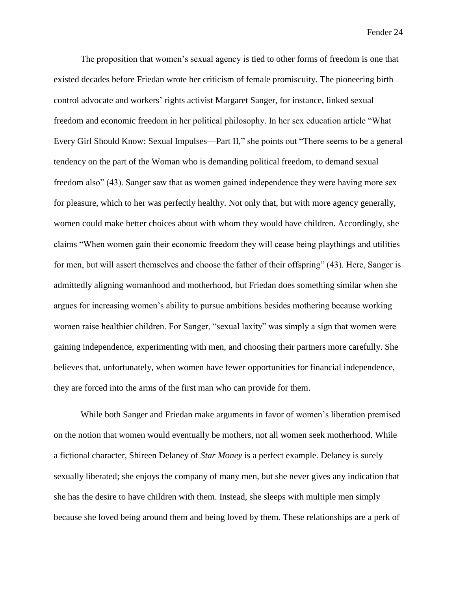The proposition that women's sexual agency is tied to other forms of freedom is one that existed decades before Friedan wrote her criticism of female promiscuity. The pioneering birth control advocate and workers' rights activist Margaret Sanger, for instance, linked sexual freedom and economic freedom in her political philosophy. In her sex education article "What Every Girl Should Know: Sexual Impulses—Part II," she points out "There seems to be a general tendency on the part of the Woman who is demanding political freedom, to demand sexual freedom also" (43). Sanger saw that as women gained independence they were having more sex for pleasure, which to her was perfectly healthy. Not only that, but with more agency generally, women could make better choices about with whom they would have children. Accordingly, she claims "When women gain their economic freedom they will cease being playthings and utilities for men, but will assert themselves and choose the father of their offspring" (43). Here, Sanger is admittedly aligning womanhood and motherhood, but Friedan does something similar when she argues for increasing women's ability to pursue ambitions besides mothering because working women raise healthier children. For Sanger, "sexual laxity" was simply a sign that women were gaining independence, experimenting with men, and choosing their partners more carefully. She believes that, unfortunately, when women have fewer opportunities for financial independence, they are forced into the arms of the first man who can provide for them.

While both Sanger and Friedan make arguments in favor of women's liberation premised on the notion that women would eventually be mothers, not all women seek motherhood. While a fictional character, Shireen Delaney of *Star Money* is a perfect example. Delaney is surely sexually liberated; she enjoys the company of many men, but she never gives any indication that she has the desire to have children with them. Instead, she sleeps with multiple men simply because she loved being around them and being loved by them. These relationships are a perk of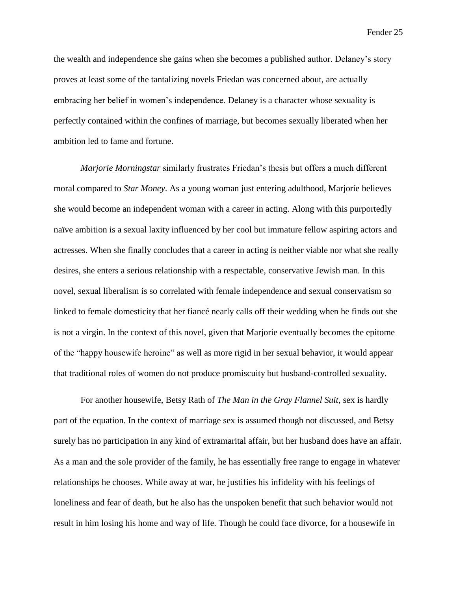the wealth and independence she gains when she becomes a published author. Delaney's story proves at least some of the tantalizing novels Friedan was concerned about, are actually embracing her belief in women's independence. Delaney is a character whose sexuality is perfectly contained within the confines of marriage, but becomes sexually liberated when her ambition led to fame and fortune.

*Marjorie Morningstar* similarly frustrates Friedan's thesis but offers a much different moral compared to *Star Money*. As a young woman just entering adulthood, Marjorie believes she would become an independent woman with a career in acting. Along with this purportedly naïve ambition is a sexual laxity influenced by her cool but immature fellow aspiring actors and actresses. When she finally concludes that a career in acting is neither viable nor what she really desires, she enters a serious relationship with a respectable, conservative Jewish man. In this novel, sexual liberalism is so correlated with female independence and sexual conservatism so linked to female domesticity that her fiancé nearly calls off their wedding when he finds out she is not a virgin. In the context of this novel, given that Marjorie eventually becomes the epitome of the "happy housewife heroine" as well as more rigid in her sexual behavior, it would appear that traditional roles of women do not produce promiscuity but husband-controlled sexuality.

For another housewife, Betsy Rath of *The Man in the Gray Flannel Suit*, sex is hardly part of the equation. In the context of marriage sex is assumed though not discussed, and Betsy surely has no participation in any kind of extramarital affair, but her husband does have an affair. As a man and the sole provider of the family, he has essentially free range to engage in whatever relationships he chooses. While away at war, he justifies his infidelity with his feelings of loneliness and fear of death, but he also has the unspoken benefit that such behavior would not result in him losing his home and way of life. Though he could face divorce, for a housewife in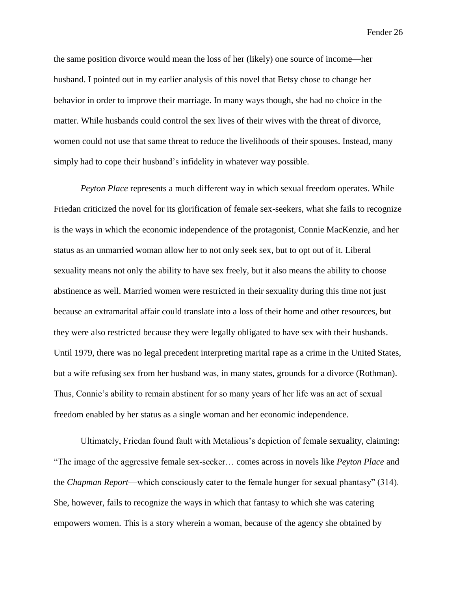the same position divorce would mean the loss of her (likely) one source of income—her husband. I pointed out in my earlier analysis of this novel that Betsy chose to change her behavior in order to improve their marriage. In many ways though, she had no choice in the matter. While husbands could control the sex lives of their wives with the threat of divorce, women could not use that same threat to reduce the livelihoods of their spouses. Instead, many simply had to cope their husband's infidelity in whatever way possible.

*Peyton Place* represents a much different way in which sexual freedom operates. While Friedan criticized the novel for its glorification of female sex-seekers, what she fails to recognize is the ways in which the economic independence of the protagonist, Connie MacKenzie, and her status as an unmarried woman allow her to not only seek sex, but to opt out of it. Liberal sexuality means not only the ability to have sex freely, but it also means the ability to choose abstinence as well. Married women were restricted in their sexuality during this time not just because an extramarital affair could translate into a loss of their home and other resources, but they were also restricted because they were legally obligated to have sex with their husbands. Until 1979, there was no legal precedent interpreting marital rape as a crime in the United States, but a wife refusing sex from her husband was, in many states, grounds for a divorce (Rothman). Thus, Connie's ability to remain abstinent for so many years of her life was an act of sexual freedom enabled by her status as a single woman and her economic independence.

Ultimately, Friedan found fault with Metalious's depiction of female sexuality, claiming: "The image of the aggressive female sex-seeker… comes across in novels like *Peyton Place* and the *Chapman Report*—which consciously cater to the female hunger for sexual phantasy" (314). She, however, fails to recognize the ways in which that fantasy to which she was catering empowers women. This is a story wherein a woman, because of the agency she obtained by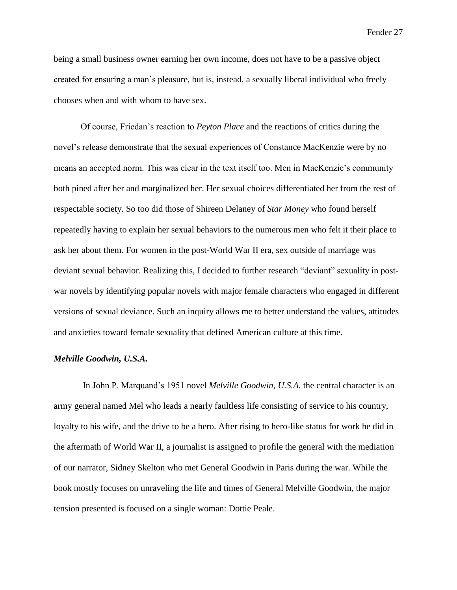being a small business owner earning her own income, does not have to be a passive object created for ensuring a man's pleasure, but is, instead, a sexually liberal individual who freely chooses when and with whom to have sex.

Of course, Friedan's reaction to *Peyton Place* and the reactions of critics during the novel's release demonstrate that the sexual experiences of Constance MacKenzie were by no means an accepted norm. This was clear in the text itself too. Men in MacKenzie's community both pined after her and marginalized her. Her sexual choices differentiated her from the rest of respectable society. So too did those of Shireen Delaney of *Star Money* who found herself repeatedly having to explain her sexual behaviors to the numerous men who felt it their place to ask her about them. For women in the post-World War II era, sex outside of marriage was deviant sexual behavior. Realizing this, I decided to further research "deviant" sexuality in postwar novels by identifying popular novels with major female characters who engaged in different versions of sexual deviance. Such an inquiry allows me to better understand the values, attitudes and anxieties toward female sexuality that defined American culture at this time.

## *Melville Goodwin, U.S.A.*

In John P. Marquand's 1951 novel *Melville Goodwin, U.S.A.* the central character is an army general named Mel who leads a nearly faultless life consisting of service to his country, loyalty to his wife, and the drive to be a hero. After rising to hero-like status for work he did in the aftermath of World War II, a journalist is assigned to profile the general with the mediation of our narrator, Sidney Skelton who met General Goodwin in Paris during the war. While the book mostly focuses on unraveling the life and times of General Melville Goodwin, the major tension presented is focused on a single woman: Dottie Peale.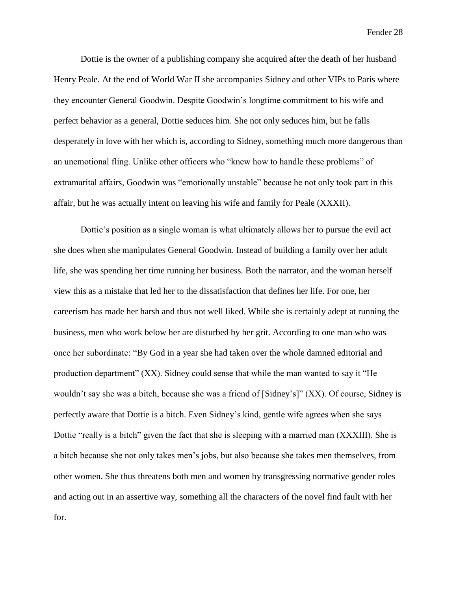Dottie is the owner of a publishing company she acquired after the death of her husband Henry Peale. At the end of World War II she accompanies Sidney and other VIPs to Paris where they encounter General Goodwin. Despite Goodwin's longtime commitment to his wife and perfect behavior as a general, Dottie seduces him. She not only seduces him, but he falls desperately in love with her which is, according to Sidney, something much more dangerous than an unemotional fling. Unlike other officers who "knew how to handle these problems" of extramarital affairs, Goodwin was "emotionally unstable" because he not only took part in this affair, but he was actually intent on leaving his wife and family for Peale (XXXII).

Dottie's position as a single woman is what ultimately allows her to pursue the evil act she does when she manipulates General Goodwin. Instead of building a family over her adult life, she was spending her time running her business. Both the narrator, and the woman herself view this as a mistake that led her to the dissatisfaction that defines her life. For one, her careerism has made her harsh and thus not well liked. While she is certainly adept at running the business, men who work below her are disturbed by her grit. According to one man who was once her subordinate: "By God in a year she had taken over the whole damned editorial and production department" (XX). Sidney could sense that while the man wanted to say it "He wouldn't say she was a bitch, because she was a friend of [Sidney's]" (XX). Of course, Sidney is perfectly aware that Dottie is a bitch. Even Sidney's kind, gentle wife agrees when she says Dottie "really is a bitch" given the fact that she is sleeping with a married man (XXXIII). She is a bitch because she not only takes men's jobs, but also because she takes men themselves, from other women. She thus threatens both men and women by transgressing normative gender roles and acting out in an assertive way, something all the characters of the novel find fault with her for.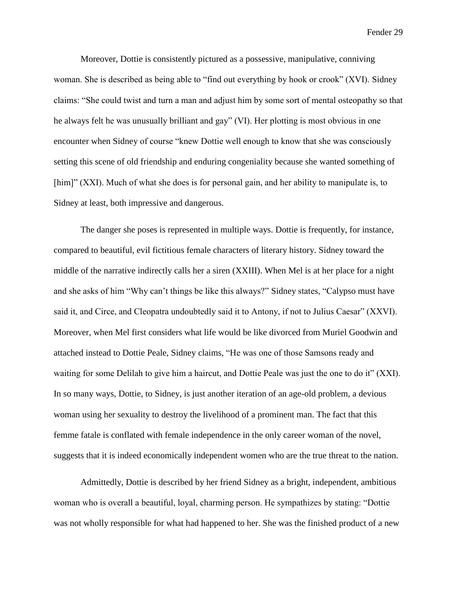Moreover, Dottie is consistently pictured as a possessive, manipulative, conniving woman. She is described as being able to "find out everything by hook or crook" (XVI). Sidney claims: "She could twist and turn a man and adjust him by some sort of mental osteopathy so that he always felt he was unusually brilliant and gay" (VI). Her plotting is most obvious in one encounter when Sidney of course "knew Dottie well enough to know that she was consciously setting this scene of old friendship and enduring congeniality because she wanted something of [him]" (XXI). Much of what she does is for personal gain, and her ability to manipulate is, to Sidney at least, both impressive and dangerous.

The danger she poses is represented in multiple ways. Dottie is frequently, for instance, compared to beautiful, evil fictitious female characters of literary history. Sidney toward the middle of the narrative indirectly calls her a siren (XXIII). When Mel is at her place for a night and she asks of him "Why can't things be like this always?" Sidney states, "Calypso must have said it, and Circe, and Cleopatra undoubtedly said it to Antony, if not to Julius Caesar" (XXVI). Moreover, when Mel first considers what life would be like divorced from Muriel Goodwin and attached instead to Dottie Peale, Sidney claims, "He was one of those Samsons ready and waiting for some Delilah to give him a haircut, and Dottie Peale was just the one to do it" (XXI). In so many ways, Dottie, to Sidney, is just another iteration of an age-old problem, a devious woman using her sexuality to destroy the livelihood of a prominent man. The fact that this femme fatale is conflated with female independence in the only career woman of the novel, suggests that it is indeed economically independent women who are the true threat to the nation.

Admittedly, Dottie is described by her friend Sidney as a bright, independent, ambitious woman who is overall a beautiful, loyal, charming person. He sympathizes by stating: "Dottie was not wholly responsible for what had happened to her. She was the finished product of a new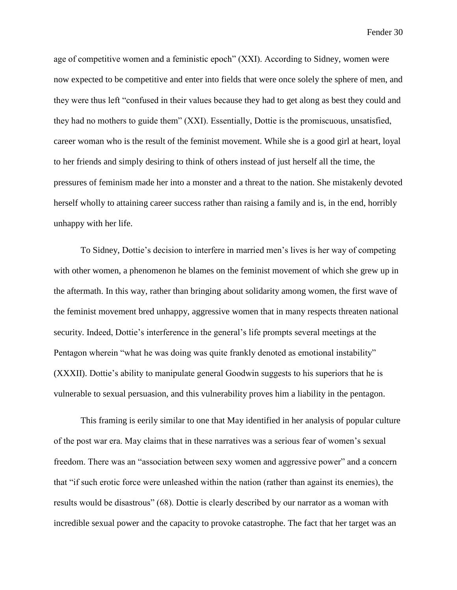age of competitive women and a feministic epoch" (XXI). According to Sidney, women were now expected to be competitive and enter into fields that were once solely the sphere of men, and they were thus left "confused in their values because they had to get along as best they could and they had no mothers to guide them" (XXI). Essentially, Dottie is the promiscuous, unsatisfied, career woman who is the result of the feminist movement. While she is a good girl at heart, loyal to her friends and simply desiring to think of others instead of just herself all the time, the pressures of feminism made her into a monster and a threat to the nation. She mistakenly devoted herself wholly to attaining career success rather than raising a family and is, in the end, horribly unhappy with her life.

To Sidney, Dottie's decision to interfere in married men's lives is her way of competing with other women, a phenomenon he blames on the feminist movement of which she grew up in the aftermath. In this way, rather than bringing about solidarity among women, the first wave of the feminist movement bred unhappy, aggressive women that in many respects threaten national security. Indeed, Dottie's interference in the general's life prompts several meetings at the Pentagon wherein "what he was doing was quite frankly denoted as emotional instability" (XXXII). Dottie's ability to manipulate general Goodwin suggests to his superiors that he is vulnerable to sexual persuasion, and this vulnerability proves him a liability in the pentagon.

This framing is eerily similar to one that May identified in her analysis of popular culture of the post war era. May claims that in these narratives was a serious fear of women's sexual freedom. There was an "association between sexy women and aggressive power" and a concern that "if such erotic force were unleashed within the nation (rather than against its enemies), the results would be disastrous" (68). Dottie is clearly described by our narrator as a woman with incredible sexual power and the capacity to provoke catastrophe. The fact that her target was an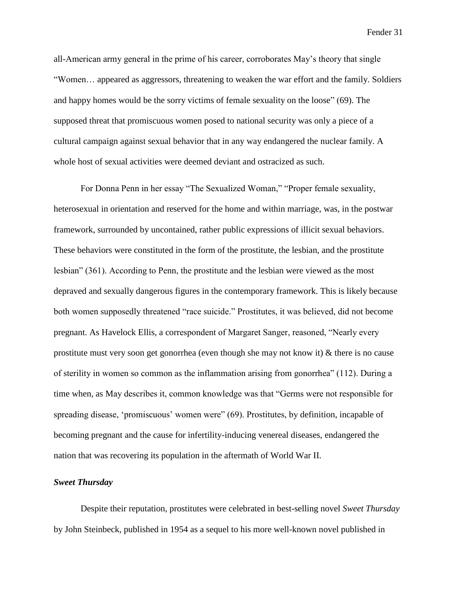all-American army general in the prime of his career, corroborates May's theory that single "Women… appeared as aggressors, threatening to weaken the war effort and the family. Soldiers and happy homes would be the sorry victims of female sexuality on the loose" (69). The supposed threat that promiscuous women posed to national security was only a piece of a cultural campaign against sexual behavior that in any way endangered the nuclear family. A whole host of sexual activities were deemed deviant and ostracized as such.

For Donna Penn in her essay "The Sexualized Woman," "Proper female sexuality, heterosexual in orientation and reserved for the home and within marriage, was, in the postwar framework, surrounded by uncontained, rather public expressions of illicit sexual behaviors. These behaviors were constituted in the form of the prostitute, the lesbian, and the prostitute lesbian" (361). According to Penn, the prostitute and the lesbian were viewed as the most depraved and sexually dangerous figures in the contemporary framework. This is likely because both women supposedly threatened "race suicide." Prostitutes, it was believed, did not become pregnant. As Havelock Ellis, a correspondent of Margaret Sanger, reasoned, "Nearly every prostitute must very soon get gonorrhea (even though she may not know it) & there is no cause of sterility in women so common as the inflammation arising from gonorrhea" (112). During a time when, as May describes it, common knowledge was that "Germs were not responsible for spreading disease, 'promiscuous' women were" (69). Prostitutes, by definition, incapable of becoming pregnant and the cause for infertility-inducing venereal diseases, endangered the nation that was recovering its population in the aftermath of World War II.

## *Sweet Thursday*

Despite their reputation, prostitutes were celebrated in best-selling novel *Sweet Thursday* by John Steinbeck, published in 1954 as a sequel to his more well-known novel published in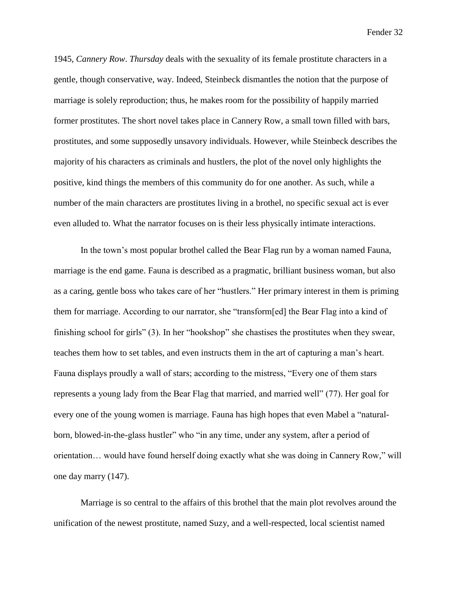1945, *Cannery Row*. *Thursday* deals with the sexuality of its female prostitute characters in a gentle, though conservative, way. Indeed, Steinbeck dismantles the notion that the purpose of marriage is solely reproduction; thus, he makes room for the possibility of happily married former prostitutes. The short novel takes place in Cannery Row, a small town filled with bars, prostitutes, and some supposedly unsavory individuals. However, while Steinbeck describes the majority of his characters as criminals and hustlers, the plot of the novel only highlights the positive, kind things the members of this community do for one another. As such, while a number of the main characters are prostitutes living in a brothel, no specific sexual act is ever even alluded to. What the narrator focuses on is their less physically intimate interactions.

In the town's most popular brothel called the Bear Flag run by a woman named Fauna, marriage is the end game. Fauna is described as a pragmatic, brilliant business woman, but also as a caring, gentle boss who takes care of her "hustlers." Her primary interest in them is priming them for marriage. According to our narrator, she "transform[ed] the Bear Flag into a kind of finishing school for girls" (3). In her "hookshop" she chastises the prostitutes when they swear, teaches them how to set tables, and even instructs them in the art of capturing a man's heart. Fauna displays proudly a wall of stars; according to the mistress, "Every one of them stars represents a young lady from the Bear Flag that married, and married well" (77). Her goal for every one of the young women is marriage. Fauna has high hopes that even Mabel a "naturalborn, blowed-in-the-glass hustler" who "in any time, under any system, after a period of orientation… would have found herself doing exactly what she was doing in Cannery Row," will one day marry (147).

Marriage is so central to the affairs of this brothel that the main plot revolves around the unification of the newest prostitute, named Suzy, and a well-respected, local scientist named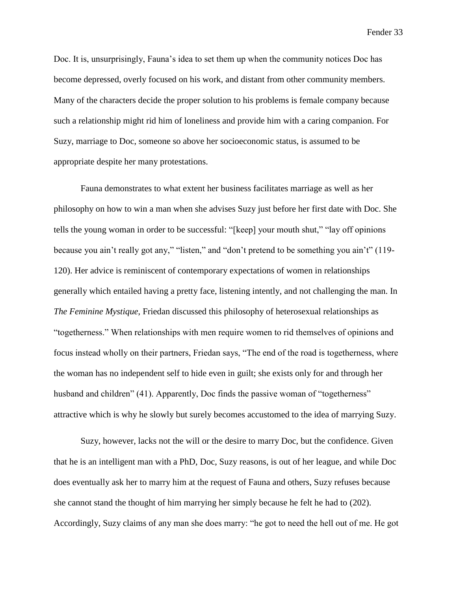Doc. It is, unsurprisingly, Fauna's idea to set them up when the community notices Doc has become depressed, overly focused on his work, and distant from other community members. Many of the characters decide the proper solution to his problems is female company because such a relationship might rid him of loneliness and provide him with a caring companion. For Suzy, marriage to Doc, someone so above her socioeconomic status, is assumed to be appropriate despite her many protestations.

Fauna demonstrates to what extent her business facilitates marriage as well as her philosophy on how to win a man when she advises Suzy just before her first date with Doc. She tells the young woman in order to be successful: "[keep] your mouth shut," "lay off opinions because you ain't really got any," "listen," and "don't pretend to be something you ain't" (119- 120). Her advice is reminiscent of contemporary expectations of women in relationships generally which entailed having a pretty face, listening intently, and not challenging the man. In *The Feminine Mystique*, Friedan discussed this philosophy of heterosexual relationships as "togetherness." When relationships with men require women to rid themselves of opinions and focus instead wholly on their partners, Friedan says, "The end of the road is togetherness, where the woman has no independent self to hide even in guilt; she exists only for and through her husband and children" (41). Apparently, Doc finds the passive woman of "togetherness" attractive which is why he slowly but surely becomes accustomed to the idea of marrying Suzy.

Suzy, however, lacks not the will or the desire to marry Doc, but the confidence. Given that he is an intelligent man with a PhD, Doc, Suzy reasons, is out of her league, and while Doc does eventually ask her to marry him at the request of Fauna and others, Suzy refuses because she cannot stand the thought of him marrying her simply because he felt he had to (202). Accordingly, Suzy claims of any man she does marry: "he got to need the hell out of me. He got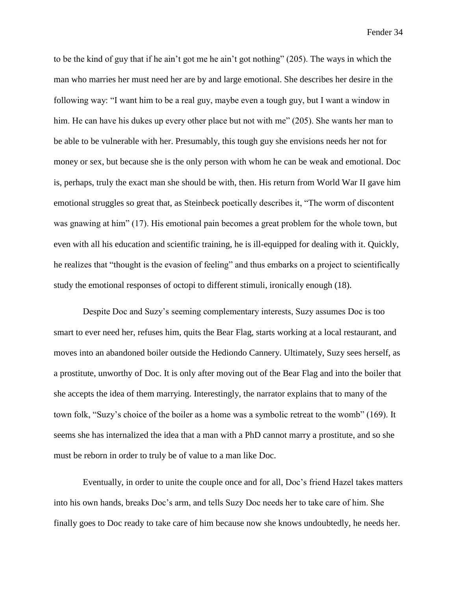to be the kind of guy that if he ain't got me he ain't got nothing" (205). The ways in which the man who marries her must need her are by and large emotional. She describes her desire in the following way: "I want him to be a real guy, maybe even a tough guy, but I want a window in him. He can have his dukes up every other place but not with me" (205). She wants her man to be able to be vulnerable with her. Presumably, this tough guy she envisions needs her not for money or sex, but because she is the only person with whom he can be weak and emotional. Doc is, perhaps, truly the exact man she should be with, then. His return from World War II gave him emotional struggles so great that, as Steinbeck poetically describes it, "The worm of discontent was gnawing at him" (17). His emotional pain becomes a great problem for the whole town, but even with all his education and scientific training, he is ill-equipped for dealing with it. Quickly, he realizes that "thought is the evasion of feeling" and thus embarks on a project to scientifically study the emotional responses of octopi to different stimuli, ironically enough (18).

Despite Doc and Suzy's seeming complementary interests, Suzy assumes Doc is too smart to ever need her, refuses him, quits the Bear Flag, starts working at a local restaurant, and moves into an abandoned boiler outside the Hediondo Cannery. Ultimately, Suzy sees herself, as a prostitute, unworthy of Doc. It is only after moving out of the Bear Flag and into the boiler that she accepts the idea of them marrying. Interestingly, the narrator explains that to many of the town folk, "Suzy's choice of the boiler as a home was a symbolic retreat to the womb" (169). It seems she has internalized the idea that a man with a PhD cannot marry a prostitute, and so she must be reborn in order to truly be of value to a man like Doc.

Eventually, in order to unite the couple once and for all, Doc's friend Hazel takes matters into his own hands, breaks Doc's arm, and tells Suzy Doc needs her to take care of him. She finally goes to Doc ready to take care of him because now she knows undoubtedly, he needs her.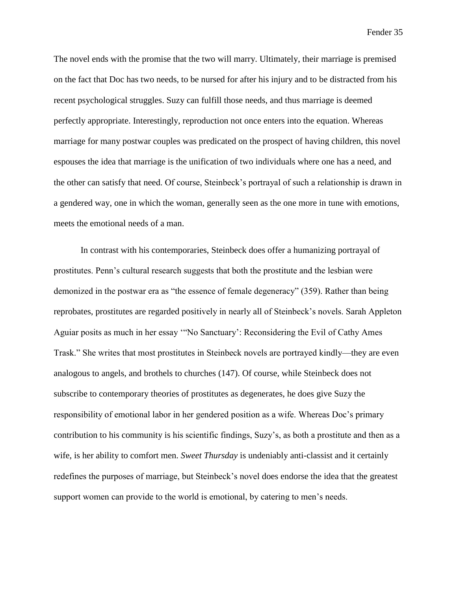The novel ends with the promise that the two will marry. Ultimately, their marriage is premised on the fact that Doc has two needs, to be nursed for after his injury and to be distracted from his recent psychological struggles. Suzy can fulfill those needs, and thus marriage is deemed perfectly appropriate. Interestingly, reproduction not once enters into the equation. Whereas marriage for many postwar couples was predicated on the prospect of having children, this novel espouses the idea that marriage is the unification of two individuals where one has a need, and the other can satisfy that need. Of course, Steinbeck's portrayal of such a relationship is drawn in a gendered way, one in which the woman, generally seen as the one more in tune with emotions, meets the emotional needs of a man.

In contrast with his contemporaries, Steinbeck does offer a humanizing portrayal of prostitutes. Penn's cultural research suggests that both the prostitute and the lesbian were demonized in the postwar era as "the essence of female degeneracy" (359). Rather than being reprobates, prostitutes are regarded positively in nearly all of Steinbeck's novels. Sarah Appleton Aguiar posits as much in her essay '"No Sanctuary': Reconsidering the Evil of Cathy Ames Trask." She writes that most prostitutes in Steinbeck novels are portrayed kindly—they are even analogous to angels, and brothels to churches (147). Of course, while Steinbeck does not subscribe to contemporary theories of prostitutes as degenerates, he does give Suzy the responsibility of emotional labor in her gendered position as a wife. Whereas Doc's primary contribution to his community is his scientific findings, Suzy's, as both a prostitute and then as a wife, is her ability to comfort men. *Sweet Thursday* is undeniably anti-classist and it certainly redefines the purposes of marriage, but Steinbeck's novel does endorse the idea that the greatest support women can provide to the world is emotional, by catering to men's needs.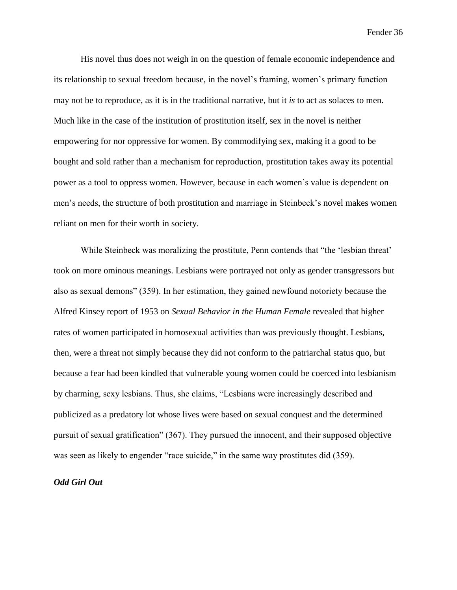His novel thus does not weigh in on the question of female economic independence and its relationship to sexual freedom because, in the novel's framing, women's primary function may not be to reproduce, as it is in the traditional narrative, but it *is* to act as solaces to men. Much like in the case of the institution of prostitution itself, sex in the novel is neither empowering for nor oppressive for women. By commodifying sex, making it a good to be bought and sold rather than a mechanism for reproduction, prostitution takes away its potential power as a tool to oppress women. However, because in each women's value is dependent on men's needs, the structure of both prostitution and marriage in Steinbeck's novel makes women reliant on men for their worth in society.

While Steinbeck was moralizing the prostitute, Penn contends that "the 'lesbian threat' took on more ominous meanings. Lesbians were portrayed not only as gender transgressors but also as sexual demons" (359). In her estimation, they gained newfound notoriety because the Alfred Kinsey report of 1953 on *Sexual Behavior in the Human Female* revealed that higher rates of women participated in homosexual activities than was previously thought. Lesbians, then, were a threat not simply because they did not conform to the patriarchal status quo, but because a fear had been kindled that vulnerable young women could be coerced into lesbianism by charming, sexy lesbians. Thus, she claims, "Lesbians were increasingly described and publicized as a predatory lot whose lives were based on sexual conquest and the determined pursuit of sexual gratification" (367). They pursued the innocent, and their supposed objective was seen as likely to engender "race suicide," in the same way prostitutes did (359).

#### *Odd Girl Out*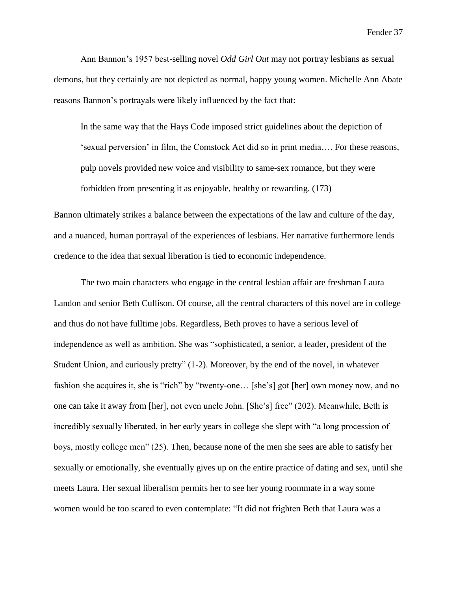Ann Bannon's 1957 best-selling novel *Odd Girl Out* may not portray lesbians as sexual demons, but they certainly are not depicted as normal, happy young women. Michelle Ann Abate reasons Bannon's portrayals were likely influenced by the fact that:

In the same way that the Hays Code imposed strict guidelines about the depiction of 'sexual perversion' in film, the Comstock Act did so in print media…. For these reasons, pulp novels provided new voice and visibility to same-sex romance, but they were forbidden from presenting it as enjoyable, healthy or rewarding. (173)

Bannon ultimately strikes a balance between the expectations of the law and culture of the day, and a nuanced, human portrayal of the experiences of lesbians. Her narrative furthermore lends credence to the idea that sexual liberation is tied to economic independence.

The two main characters who engage in the central lesbian affair are freshman Laura Landon and senior Beth Cullison. Of course, all the central characters of this novel are in college and thus do not have fulltime jobs. Regardless, Beth proves to have a serious level of independence as well as ambition. She was "sophisticated, a senior, a leader, president of the Student Union, and curiously pretty" (1-2). Moreover, by the end of the novel, in whatever fashion she acquires it, she is "rich" by "twenty-one… [she's] got [her] own money now, and no one can take it away from [her], not even uncle John. [She's] free" (202). Meanwhile, Beth is incredibly sexually liberated, in her early years in college she slept with "a long procession of boys, mostly college men" (25). Then, because none of the men she sees are able to satisfy her sexually or emotionally, she eventually gives up on the entire practice of dating and sex, until she meets Laura. Her sexual liberalism permits her to see her young roommate in a way some women would be too scared to even contemplate: "It did not frighten Beth that Laura was a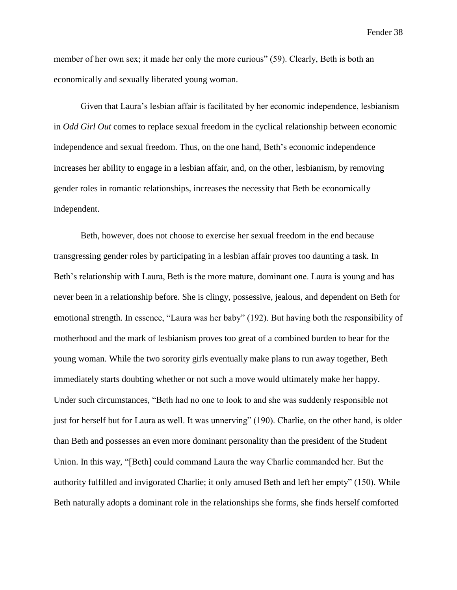member of her own sex; it made her only the more curious" (59). Clearly, Beth is both an economically and sexually liberated young woman.

Given that Laura's lesbian affair is facilitated by her economic independence, lesbianism in *Odd Girl Out* comes to replace sexual freedom in the cyclical relationship between economic independence and sexual freedom. Thus, on the one hand, Beth's economic independence increases her ability to engage in a lesbian affair, and, on the other, lesbianism, by removing gender roles in romantic relationships, increases the necessity that Beth be economically independent.

Beth, however, does not choose to exercise her sexual freedom in the end because transgressing gender roles by participating in a lesbian affair proves too daunting a task. In Beth's relationship with Laura, Beth is the more mature, dominant one. Laura is young and has never been in a relationship before. She is clingy, possessive, jealous, and dependent on Beth for emotional strength. In essence, "Laura was her baby" (192). But having both the responsibility of motherhood and the mark of lesbianism proves too great of a combined burden to bear for the young woman. While the two sorority girls eventually make plans to run away together, Beth immediately starts doubting whether or not such a move would ultimately make her happy. Under such circumstances, "Beth had no one to look to and she was suddenly responsible not just for herself but for Laura as well. It was unnerving" (190). Charlie, on the other hand, is older than Beth and possesses an even more dominant personality than the president of the Student Union. In this way, "[Beth] could command Laura the way Charlie commanded her. But the authority fulfilled and invigorated Charlie; it only amused Beth and left her empty" (150). While Beth naturally adopts a dominant role in the relationships she forms, she finds herself comforted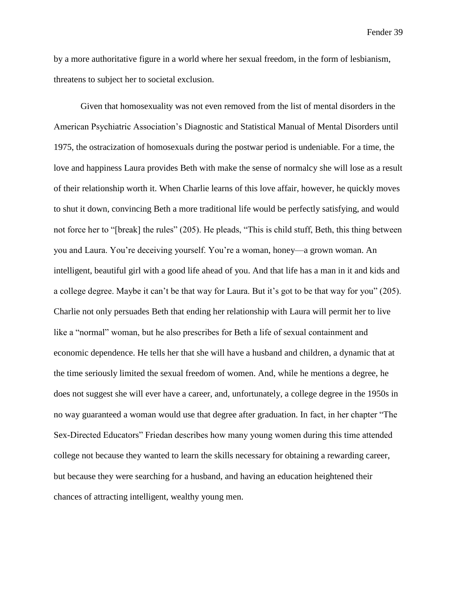by a more authoritative figure in a world where her sexual freedom, in the form of lesbianism, threatens to subject her to societal exclusion.

Given that homosexuality was not even removed from the list of mental disorders in the American Psychiatric Association's Diagnostic and Statistical Manual of Mental Disorders until 1975, the ostracization of homosexuals during the postwar period is undeniable. For a time, the love and happiness Laura provides Beth with make the sense of normalcy she will lose as a result of their relationship worth it. When Charlie learns of this love affair, however, he quickly moves to shut it down, convincing Beth a more traditional life would be perfectly satisfying, and would not force her to "[break] the rules" (205). He pleads, "This is child stuff, Beth, this thing between you and Laura. You're deceiving yourself. You're a woman, honey—a grown woman. An intelligent, beautiful girl with a good life ahead of you. And that life has a man in it and kids and a college degree. Maybe it can't be that way for Laura. But it's got to be that way for you" (205). Charlie not only persuades Beth that ending her relationship with Laura will permit her to live like a "normal" woman, but he also prescribes for Beth a life of sexual containment and economic dependence. He tells her that she will have a husband and children, a dynamic that at the time seriously limited the sexual freedom of women. And, while he mentions a degree, he does not suggest she will ever have a career, and, unfortunately, a college degree in the 1950s in no way guaranteed a woman would use that degree after graduation. In fact, in her chapter "The Sex-Directed Educators" Friedan describes how many young women during this time attended college not because they wanted to learn the skills necessary for obtaining a rewarding career, but because they were searching for a husband, and having an education heightened their chances of attracting intelligent, wealthy young men.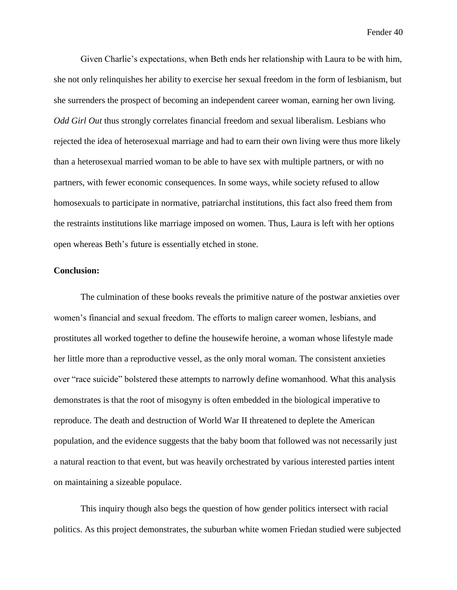Given Charlie's expectations, when Beth ends her relationship with Laura to be with him, she not only relinquishes her ability to exercise her sexual freedom in the form of lesbianism, but she surrenders the prospect of becoming an independent career woman, earning her own living. *Odd Girl Out* thus strongly correlates financial freedom and sexual liberalism. Lesbians who rejected the idea of heterosexual marriage and had to earn their own living were thus more likely than a heterosexual married woman to be able to have sex with multiple partners, or with no partners, with fewer economic consequences. In some ways, while society refused to allow homosexuals to participate in normative, patriarchal institutions, this fact also freed them from the restraints institutions like marriage imposed on women. Thus, Laura is left with her options open whereas Beth's future is essentially etched in stone.

## **Conclusion:**

The culmination of these books reveals the primitive nature of the postwar anxieties over women's financial and sexual freedom. The efforts to malign career women, lesbians, and prostitutes all worked together to define the housewife heroine, a woman whose lifestyle made her little more than a reproductive vessel, as the only moral woman. The consistent anxieties over "race suicide" bolstered these attempts to narrowly define womanhood. What this analysis demonstrates is that the root of misogyny is often embedded in the biological imperative to reproduce. The death and destruction of World War II threatened to deplete the American population, and the evidence suggests that the baby boom that followed was not necessarily just a natural reaction to that event, but was heavily orchestrated by various interested parties intent on maintaining a sizeable populace.

This inquiry though also begs the question of how gender politics intersect with racial politics. As this project demonstrates, the suburban white women Friedan studied were subjected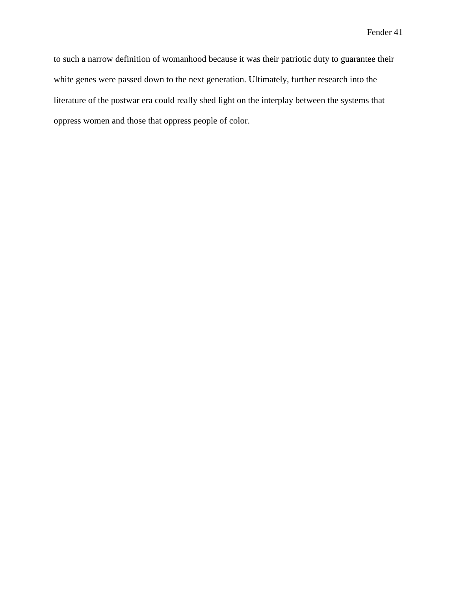to such a narrow definition of womanhood because it was their patriotic duty to guarantee their white genes were passed down to the next generation. Ultimately, further research into the literature of the postwar era could really shed light on the interplay between the systems that oppress women and those that oppress people of color.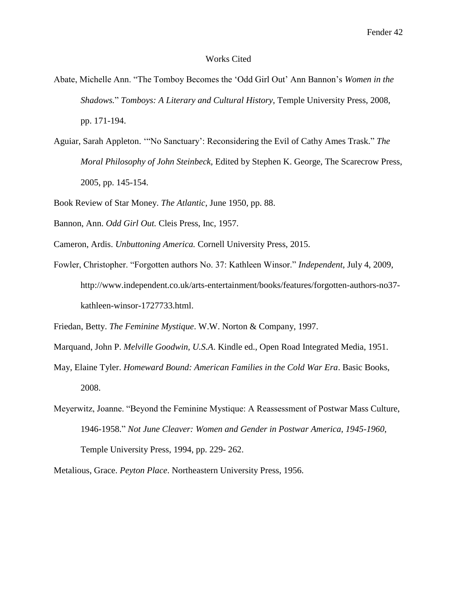#### Works Cited

- Abate, Michelle Ann. "The Tomboy Becomes the 'Odd Girl Out' Ann Bannon's *Women in the Shadows.*" *Tomboys: A Literary and Cultural History*, Temple University Press, 2008, pp. 171-194.
- Aguiar, Sarah Appleton. '"No Sanctuary': Reconsidering the Evil of Cathy Ames Trask." *The Moral Philosophy of John Steinbeck,* Edited by Stephen K. George, The Scarecrow Press, 2005, pp. 145-154.
- Book Review of Star Money. *The Atlantic*, June 1950, pp. 88.
- Bannon, Ann. *Odd Girl Out.* Cleis Press, Inc, 1957.
- Cameron, Ardis. *Unbuttoning America.* Cornell University Press, 2015.
- Fowler, Christopher. "Forgotten authors No. 37: Kathleen Winsor." *Independent*, July 4, 2009, http://www.independent.co.uk/arts-entertainment/books/features/forgotten-authors-no37 kathleen-winsor-1727733.html.

Friedan, Betty. *The Feminine Mystique*. W.W. Norton & Company, 1997.

- Marquand, John P. *Melville Goodwin, U.S.A*. Kindle ed., Open Road Integrated Media, 1951.
- May, Elaine Tyler. *Homeward Bound: American Families in the Cold War Era*. Basic Books, 2008.
- Meyerwitz, Joanne. "Beyond the Feminine Mystique: A Reassessment of Postwar Mass Culture, 1946-1958." *Not June Cleaver: Women and Gender in Postwar America, 1945-1960*, Temple University Press, 1994, pp. 229- 262.
- Metalious, Grace. *Peyton Place*. Northeastern University Press, 1956.